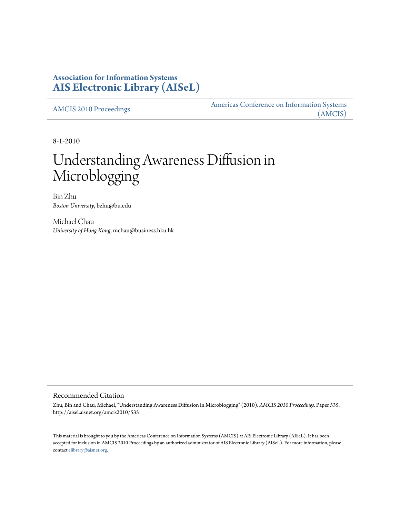# **Association for Information Systems [AIS Electronic Library \(AISeL\)](http://aisel.aisnet.org)**

[AMCIS 2010 Proceedings](http://aisel.aisnet.org/amcis2010) [Americas Conference on Information Systems](http://aisel.aisnet.org/amcis) [\(AMCIS\)](http://aisel.aisnet.org/amcis)

8-1-2010

# Understanding Awareness Diffusion in Microblogging

Bin Zhu *Boston University*, bzhu@bu.edu

Michael Chau *University of Hong Kong*, mchau@business.hku.hk

### Recommended Citation

Zhu, Bin and Chau, Michael, "Understanding Awareness Diffusion in Microblogging" (2010). *AMCIS 2010 Proceedings.* Paper 535. http://aisel.aisnet.org/amcis2010/535

This material is brought to you by the Americas Conference on Information Systems (AMCIS) at AIS Electronic Library (AISeL). It has been accepted for inclusion in AMCIS 2010 Proceedings by an authorized administrator of AIS Electronic Library (AISeL). For more information, please contact [elibrary@aisnet.org.](mailto:elibrary@aisnet.org>)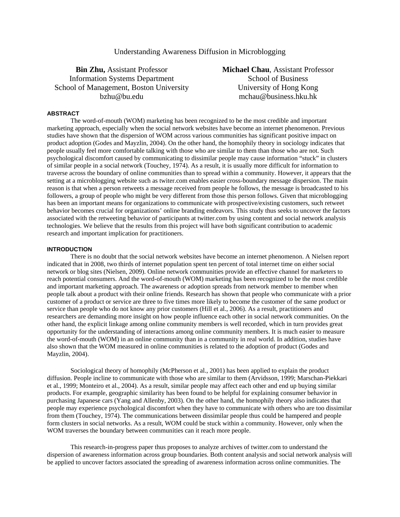## Understanding Awareness Diffusion in Microblogging

**Bin Zhu,** Assistant Professor Information Systems Department School of Management, Boston University bzhu@bu.edu

**Michael Chau**, Assistant Professor School of Business University of Hong Kong mchau@business.hku.hk

#### **ABSTRACT**

The word-of-mouth (WOM) marketing has been recognized to be the most credible and important marketing approach, especially when the social network websites have become an internet phenomenon. Previous studies have shown that the dispersion of WOM across various communities has significant positive impact on product adoption (Godes and Mayzlin, 2004). On the other hand, the homophily theory in sociology indicates that people usually feel more comfortable talking with those who are similar to them than those who are not. Such psychological discomfort caused by communicating to dissimilar people may cause information "stuck" in clusters of similar people in a social network (Touchey, 1974). As a result, it is usually more difficult for information to traverse across the boundary of online communities than to spread within a community. However, it appears that the setting at a microblogging website such as twiter.com enables easier cross-boundary message dispersion. The main reason is that when a person retweets a message received from people he follows, the message is broadcasted to his followers, a group of people who might be very different from those this person follows. Given that microblogging has been an important means for organizations to communicate with prospective/existing customers, such retweet behavior becomes crucial for organizations' online branding endeavors. This study thus seeks to uncover the factors associated with the retweeting behavior of participants at twitter.com by using content and social network analysis technologies. We believe that the results from this project will have both significant contribution to academic research and important implication for practitioners.

#### **INTRODUCTION**

There is no doubt that the social network websites have become an internet phenomenon. A Nielsen report indicated that in 2008, two thirds of internet population spent ten percent of total internet time on either social network or blog sites (Nielsen, 2009). Online network communities provide an effective channel for marketers to reach potential consumers. And the word-of-mouth (WOM) marketing has been recognized to be the most credible and important marketing approach. The awareness or adoption spreads from network member to member when people talk about a product with their online friends. Research has shown that people who communicate with a prior customer of a product or service are three to five times more likely to become the customer of the same product or service than people who do not know any prior customers (Hill et al., 2006). As a result, practitioners and researchers are demanding more insight on how people influence each other in social network communities. On the other hand, the explicit linkage among online community members is well recorded, which in turn provides great opportunity for the understanding of interactions among online community members. It is much easier to measure the word-of-mouth (WOM) in an online community than in a community in real world. In addition, studies have also shown that the WOM measured in online communities is related to the adoption of product (Godes and Mayzlin, 2004).

Sociological theory of homophily (McPherson et al., 2001) has been applied to explain the product diffusion. People incline to communicate with those who are similar to them (Arvidsson, 1999; Marschan-Piekkari et al., 1999; Monteiro et al., 2004). As a result, similar people may affect each other and end up buying similar products. For example, geographic similarity has been found to be helpful for explaining consumer behavior in purchasing Japanese cars (Yang and Allenby, 2003). On the other hand, the homophily theory also indicates that people may experience psychological discomfort when they have to communicate with others who are too dissimilar from them (Touchey, 1974). The communications between dissimilar people thus could be hampered and people form clusters in social networks. As a result, WOM could be stuck within a community. However, only when the WOM traverses the boundary between communities can it reach more people.

This research-in-progress paper thus proposes to analyze archives of twitter.com to understand the dispersion of awareness information across group boundaries. Both content analysis and social network analysis will be applied to uncover factors associated the spreading of awareness information across online communities. The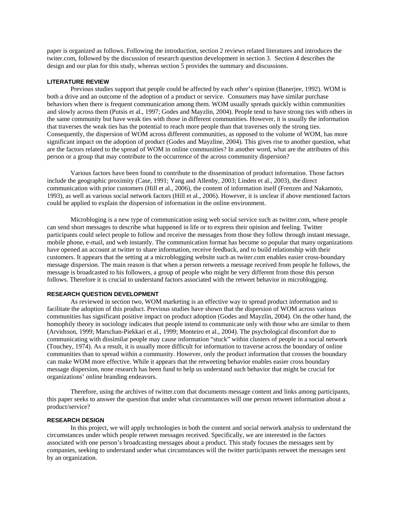paper is organized as follows. Following the introduction, section 2 reviews related literatures and introduces the twiter.com, followed by the discussion of research question development in section 3. Section 4 describes the design and our plan for this study, whereas section 5 provides the summary and discussions.

#### **LITERATURE REVIEW**

Previous studies support that people could be affected by each other's opinion (Banerjee, 1992). WOM is both a drive and an outcome of the adoption of a product or service. Consumers may have similar purchase behaviors when there is frequent communication among them. WOM usually spreads quickly within communities and slowly across them (Putsis et al., 1997; Godes and Mayzlin, 2004). People tend to have strong ties with others in the same community but have weak ties with those in different communities. However, it is usually the information that traverses the weak ties has the potential to reach more people than that traverses only the strong ties. Consequently, the dispersion of WOM across different communities, as opposed to the volume of WOM, has more significant impact on the adoption of product (Godes and Mayzline, 2004). This gives rise to another question, what are the factors related to the spread of WOM in online communities? In another word, what are the attributes of this person or a group that may contribute to the occurrence of the across community dispersion?

Various factors have been found to contribute to the dissemination of product information. Those factors include the geographic proximity (Case, 1991; Yang and Allenby, 2003; Linden et al., 2003), the direct communication with prior customers (Hill et al., 2006), the content of information itself (Frenzen and Nakamoto, 1993), as well as various social network factors (Hill et al., 2006). However, it is unclear if above mentioned factors could be applied to explain the dispersion of information in the online environment.

Microbloging is a new type of communication using web social service such as twitter.com, where people can send short messages to describe what happened in life or to express their opinion and feeling. Twitter participants could select people to follow and receive the messages from those they follow through instant message, mobile phone, e-mail, and web instantly. The communication format has become so popular that many organizations have opened an account at twitter to share information, receive feedback, and to build relationship with their customers. It appears that the setting at a microblogging website such as twiter.com enables easier cross-boundary message dispersion. The main reason is that when a person retweets a message received from people he follows, the message is broadcasted to his followers, a group of people who might be very different from those this person follows. Therefore it is crucial to understand factors associated with the retweet behavior in microblogging.

#### **RESEARCH QUESTION DEVELOPMENT**

As reviewed in section two, WOM marketing is an effective way to spread product information and to facilitate the adoption of this product. Previous studies have shown that the dispersion of WOM across various communities has significant positive impact on product adoption (Godes and Mayzlin, 2004). On the other hand, the homophily theory in sociology indicates that people intend to communicate only with those who are similar to them (Arvidsson, 1999; Marschan-Piekkari et al., 1999; Monteiro et al., 2004). The psychological discomfort due to communicating with dissimilar people may cause information "stuck" within clusters of people in a social network (Touchey, 1974). As a result, it is usually more difficult for information to traverse across the boundary of online communities than to spread within a community. However, only the product information that crosses the boundary can make WOM more effective. While it appears that the retweeting behavior enables easier cross boundary message dispersion, none research has been fund to help us understand such behavior that might be crucial for organizations' online branding endeavors.

 Therefore, using the archives of twitter.com that documents message content and links among participants, this paper seeks to answer the question that under what circumstances will one person retweet information about a product/service?

#### **RESEARCH DESIGN**

In this project, we will apply technologies in both the content and social network analysis to understand the circumstances under which people retweet messages received. Specifically, we are interested in the factors associated with one person's broadcasting messages about a product. This study focuses the messages sent by companies, seeking to understand under what circumstances will the twitter participants retweet the messages sent by an organization.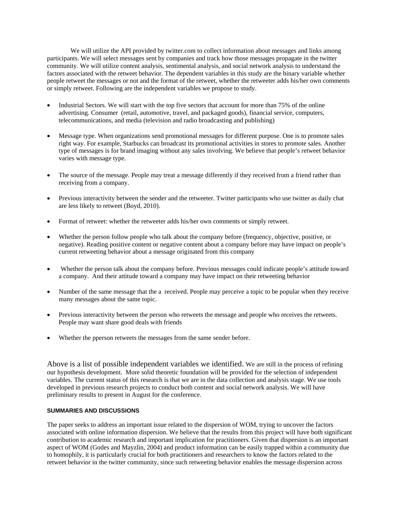We will utilize the API provided by twitter.com to collect information about messages and links among participants. We will select messages sent by companies and track how those messages propagate in the twitter community. We will utilize content analysis, sentimental analysis, and social network analysis to understand the factors associated with the retweet behavior. The dependent variables in this study are the binary variable whether people retweet the messages or not and the format of the retweet, whether the retweeter adds his/her own comments or simply retweet. Following are the independent variables we propose to study.

- Industrial Sectors. We will start with the top five sectors that account for more than 75% of the online advertising. Consumer (retail, automotive, travel, and packaged goods), financial service, computers, telecommunications, and media (television and radio broadcasting and publishing)
- Message type. When organizations send promotional messages for different purpose. One is to promote sales right way. For example, Starbucks can broadcast its promotional activities in stores to promote sales. Another type of messages is for brand imaging without any sales involving. We believe that people's retweet behavior varies with message type.
- The source of the message. People may treat a message differently if they received from a friend rather than receiving from a company.
- Previous interactivity between the sender and the retweeter. Twitter participants who use twitter as daily chat are less likely to retweet (Boyd, 2010).
- Format of retweet: whether the retweeter adds his/her own comments or simply retweet.
- Whether the person follow people who talk about the company before (frequency, objective, positive, or negative). Reading positive content or negative content about a company before may have impact on people's current retweeting behavior about a message originated from this company
- Whether the person talk about the company before. Previous messages could indicate people's attitude toward a company. And their attitude toward a company may have impact on their retweeting behavior
- Number of the same message that the a received. People may perceive a topic to be popular when they receive many messages about the same topic.
- Previous interactivity between the person who retweets the message and people who receives the retweets. People may want share good deals with friends
- Whether the pperson retweets the messages from the same sender before.

Above is a list of possible independent variables we identified. We are still in the process of refining our hypothesis development. More solid theoretic foundation will be provided for the selection of independent variables. The current status of this research is that we are in the data collection and analysis stage. We use tools developed in previous research projects to conduct both content and social network analysis. We will have preliminary results to present in August for the conference.

#### **SUMMARIES AND DISCUSSIONS**

The paper seeks to address an important issue related to the dispersion of WOM, trying to uncover the factors associated with online information dispersion. We believe that the results from this project will have both significant contribution to academic research and important implication for practitioners. Given that dispersion is an important aspect of WOM (Godes and Mayzlin, 2004) and product information can be easily trapped within a community due to homophily, it is particularly crucial for both practitioners and researchers to know the factors related to the retweet behavior in the twitter community, since such retweeting behavior enables the message dispersion across